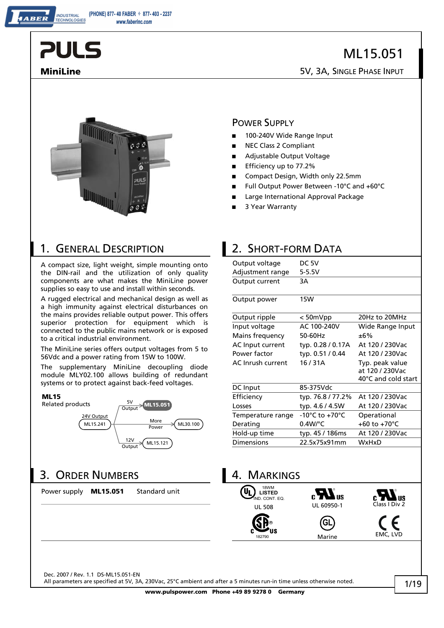**INDUSTRIAL** TECHNOLOGIES

## ML15.051

**MiniLine** 5V, 3A, SINGLE PHASE INPUT



A compact size, light weight, simple mounting onto the DIN-rail and the utilization of only quality components are what makes the MiniLine power supplies so easy to use and install within seconds.

A rugged electrical and mechanical design as well as a high immunity against electrical disturbances on the mains provides reliable output power. This offers superior protection for equipment which is connected to the public mains network or is exposed to a critical industrial environment.

The MiniLine series offers output voltages from 5 to 56Vdc and a power rating from 15W to 100W.

The supplementary MiniLine decoupling diode module MLY02.100 allows building of redundant systems or to protect against back-feed voltages.





## 3. ORDER NUMBERS 4. MARKINGS

Power supply **ML15.051** Standard unit

POWER SUPPLY **■** 100-240V Wide Range Input

- **■** NEC Class 2 Compliant
- **■** Adjustable Output Voltage
- **■** Efficiency up to 77.2%
- Compact Design, Width only 22.5mm
- **■** Full Output Power Between -10°C and +60°C
- **■** Large International Approval Package
- **■** 3 Year Warranty

#### 1. GENERAL DESCRIPTION 2. SHORT-FORM DATA

| Output voltage    | DC 5V                              |                         |
|-------------------|------------------------------------|-------------------------|
| Adjustment range  | 5-5.5V                             |                         |
| Output current    | 3A                                 |                         |
|                   |                                    |                         |
| Output power      | <b>15W</b>                         |                         |
| Output ripple     | $< 50$ m $Vpp$                     | 20Hz to 20MHz           |
| Input voltage     | AC 100-240V                        | Wide Range Input        |
| Mains frequency   | 50-60Hz                            | ±6%                     |
| AC Input current  | typ. 0.28 / 0.17A                  | At 120 / 230Vac         |
| Power factor      | typ. 0.51 / 0.44                   | At 120 / 230Vac         |
| AC Inrush current | 16/31A                             | Typ. peak value         |
|                   |                                    | at 120 / 230Vac         |
|                   |                                    | 40°C and cold start     |
| DC Input          | 85-375Vdc                          |                         |
| Efficiency        | typ. 76.8/77.2%                    | At 120 / 230Vac         |
| Losses            | typ. 4.6 / 4.5W                    | At 120 / 230Vac         |
| Temperature range | $-10^{\circ}$ C to $+70^{\circ}$ C | Operational             |
| Derating          | $0.4W$ <sup>o</sup> C              | +60 to +70 $^{\circ}$ C |
| Hold-up time      | typ. 45 / 186ms                    | At 120 / 230Vac         |
| <b>Dimensions</b> | 22.5x75x91mm                       | <b>WxHxD</b>            |
|                   |                                    |                         |
|                   |                                    |                         |



Dec. 2007 / Rev. 1.1 DS-ML15.051-EN

All parameters are specified at 5V, 3A, 230Vac, 25°C ambient and after a 5 minutes run-in time unless otherwise noted.

**www.pulspower.com Phone +49 89 9278 0 Germany**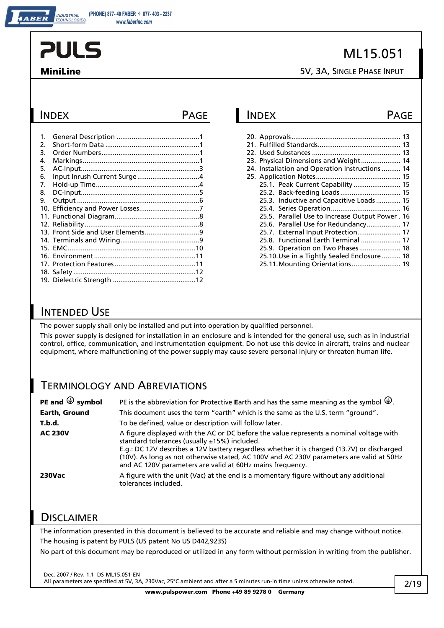INDUSTRIAL<br><u>TECHNOLOGIES</u>

## ML15.051

**MiniLine** 5V, 3A, SINGLE PHASE INPUT

| $\mathbf{1}$ . |  |
|----------------|--|
| 2.             |  |
| 3.             |  |
| 4.             |  |
| 5.             |  |
| 6.             |  |
| 7.             |  |
| 8.             |  |
| 9.             |  |
|                |  |
|                |  |
|                |  |
|                |  |
|                |  |
|                |  |
|                |  |
|                |  |
|                |  |
|                |  |
|                |  |

### INDEX PAGE INDEX PAGE

|  | 23. Physical Dimensions and Weight 14            |  |
|--|--------------------------------------------------|--|
|  | 24. Installation and Operation Instructions 14   |  |
|  |                                                  |  |
|  | 25.1. Peak Current Capability  15                |  |
|  |                                                  |  |
|  | 25.3. Inductive and Capacitive Loads 15          |  |
|  |                                                  |  |
|  | 25.5. Parallel Use to Increase Output Power . 16 |  |
|  | 25.6. Parallel Use for Redundancy 17             |  |
|  | 25.7. External Input Protection 17               |  |
|  | 25.8. Functional Earth Terminal  17              |  |
|  | 25.9. Operation on Two Phases 18                 |  |
|  | 25.10. Use in a Tightly Sealed Enclosure  18     |  |
|  | 25.11. Mounting Orientations 19                  |  |

#### INTENDED USE

The power supply shall only be installed and put into operation by qualified personnel.

This power supply is designed for installation in an enclosure and is intended for the general use, such as in industrial control, office, communication, and instrumentation equipment. Do not use this device in aircraft, trains and nuclear equipment, where malfunctioning of the power supply may cause severe personal injury or threaten human life.

#### TERMINOLOGY AND ABREVIATIONS

| PE and $\bigcirc$ symbol | PE is the abbreviation for Protective Earth and has the same meaning as the symbol $\bigoplus$ .                                                                                                                                                                                                                                                                                                   |
|--------------------------|----------------------------------------------------------------------------------------------------------------------------------------------------------------------------------------------------------------------------------------------------------------------------------------------------------------------------------------------------------------------------------------------------|
| Earth, Ground            | This document uses the term "earth" which is the same as the U.S. term "ground".                                                                                                                                                                                                                                                                                                                   |
| T.b.d.                   | To be defined, value or description will follow later.                                                                                                                                                                                                                                                                                                                                             |
| <b>AC 230V</b>           | A figure displayed with the AC or DC before the value represents a nominal voltage with<br>standard tolerances (usually $±15%$ ) included.<br>E.g.: DC 12V describes a 12V battery regardless whether it is charged (13.7V) or discharged<br>(10V). As long as not otherwise stated, AC 100V and AC 230V parameters are valid at 50Hz<br>and AC 120V parameters are valid at 60Hz mains frequency. |
| <b>230Vac</b>            | A figure with the unit (Vac) at the end is a momentary figure without any additional<br>tolerances included.                                                                                                                                                                                                                                                                                       |

#### **DISCLAIMER**

The information presented in this document is believed to be accurate and reliable and may change without notice. The housing is patent by PULS (US patent No US D442,923S)

No part of this document may be reproduced or utilized in any form without permission in writing from the publisher.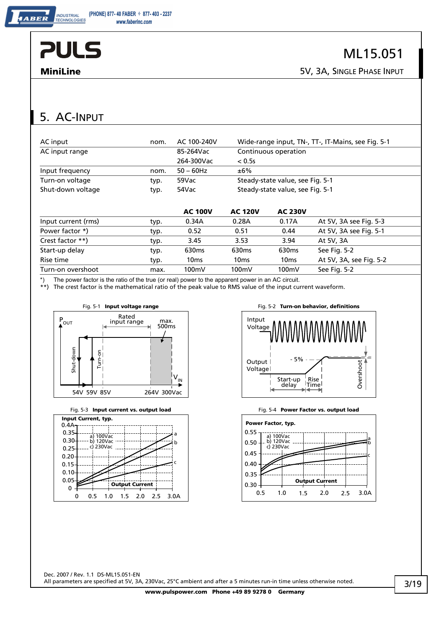ABER

**MiniLine** 5V, 3A, SINGLE PHASE INPUT

## 5. AC-INPUT

| AC input            | nom. | AC 100-240V       |                   | Wide-range input, TN-, TT-, IT-Mains, see Fig. 5-1 |                         |  |
|---------------------|------|-------------------|-------------------|----------------------------------------------------|-------------------------|--|
| AC input range      |      | 85-264Vac         |                   | Continuous operation                               |                         |  |
|                     |      | 264-300Vac        | < 0.5s            |                                                    |                         |  |
| Input frequency     | nom. | $50 - 60$ Hz      | ±6%               |                                                    |                         |  |
| Turn-on voltage     | typ. | 59Vac             |                   | Steady-state value, see Fig. 5-1                   |                         |  |
| Shut-down voltage   | typ. | 54Vac             |                   | Steady-state value, see Fig. 5-1                   |                         |  |
|                     |      |                   |                   |                                                    |                         |  |
|                     |      | <b>AC 100V</b>    | <b>AC 120V</b>    | <b>AC 230V</b>                                     |                         |  |
| Input current (rms) | typ. | 0.34A             | 0.28A             | 0.17A                                              | At 5V, 3A see Fig. 5-3  |  |
| Power factor *)     | typ. | 0.52              | 0.51              | 0.44                                               | At 5V, 3A see Fig. 5-1  |  |
| Crest factor **)    | typ. | 3.45              | 3.53              | 3.94                                               | At 5V, 3A               |  |
| Start-up delay      | typ. | 630 <sub>ms</sub> | 630 <sub>ms</sub> | 630 <sub>ms</sub>                                  | See Fig. 5-2            |  |
| Rise time           | typ. | 10 <sub>ms</sub>  | 10 <sub>ms</sub>  | 10 <sub>ms</sub>                                   | At 5V, 3A, see Fig. 5-2 |  |

\*) The power factor is the ratio of the true (or real) power to the apparent power in an AC circuit.

\*\*) The crest factor is the mathematical ratio of the peak value to RMS value of the input current waveform.

Turn-on overshoot max. 100mV 100mV 100mV See Fig. 5-2





Fig. 5-3 **Input current vs. output load** Fig. 5-4 **Power Factor vs. output load** 



Fig. 5-1 **Input voltage range** Fig. 5-2 **Turn-on behavior, definitions** 





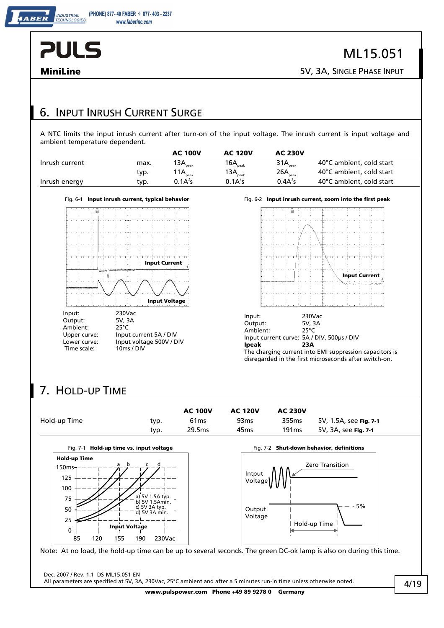**BER** 

**MiniLine** 5V, 3A, SINGLE PHASE INPUT

### 6. INPUT INRUSH CURRENT SURGE

A NTC limits the input inrush current after turn-on of the input voltage. The inrush current is input voltage and ambient temperature dependent.

|                |      | <b>AC 100V</b>       | <b>AC 120V</b>                | <b>AC 230V</b>      |                          |
|----------------|------|----------------------|-------------------------------|---------------------|--------------------------|
| Inrush current | max. | 13 $A_{\text{peak}}$ | 16 $\mathsf{A}_{_{\sf peak}}$ | 31A <sub>peak</sub> | 40°C ambient, cold start |
|                | typ. | 11A <sub>peak</sub>  | 13 $\mathsf{A}_{_{\sf peak}}$ | $26A_{\text{peak}}$ | 40°C ambient, cold start |
| Inrush energy  | typ. | 0.1A <sup>2</sup> S  | 0.1A <sup>2</sup> S           | 0.4A <sup>2</sup> s | 40°C ambient, cold start |





## 7. HOLD-UP TIME

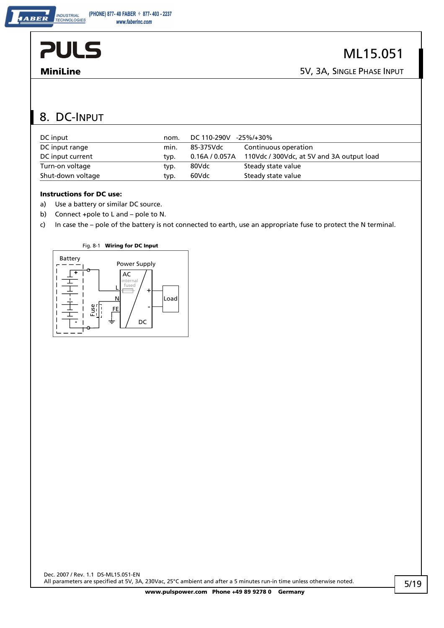ABER

## 8. DC-INPUT

| DC input          | nom. | DC 110-290V<br>-25%/+30% |                                           |  |
|-------------------|------|--------------------------|-------------------------------------------|--|
| DC input range    | min. | 85-375Vdc                | Continuous operation                      |  |
| DC input current  | typ. | 0.16A / 0.057A           | 110Vdc / 300Vdc, at 5V and 3A output load |  |
| Turn-on voltage   | typ. | 80Vdc                    | Steady state value                        |  |
| Shut-down voltage | typ. | 60Vdc                    | Steady state value                        |  |

#### **Instructions for DC use:**

- a) Use a battery or similar DC source.
- b) Connect +pole to L and pole to N.
- c) In case the pole of the battery is not connected to earth, use an appropriate fuse to protect the N terminal.

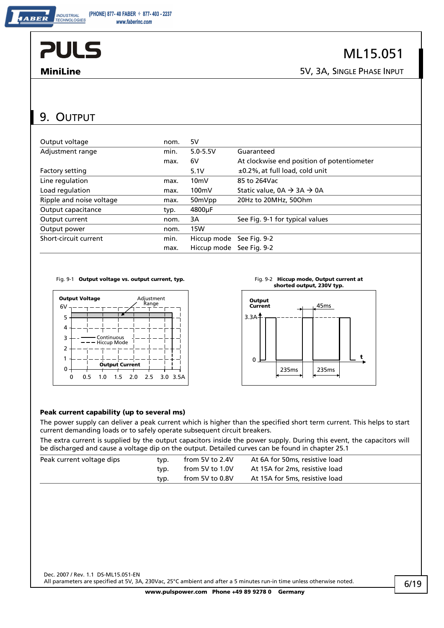ABER

**MiniLine** 5V, 3A, SINGLE PHASE INPUT

## 9. OUTPUT

| Output voltage           | nom. | 5V                       |                                                  |
|--------------------------|------|--------------------------|--------------------------------------------------|
| Adjustment range         | min. | $5.0 - 5.5V$             | Guaranteed                                       |
|                          | max. | 6V                       | At clockwise end position of potentiometer       |
| <b>Factory setting</b>   |      | 5.1V                     | $\pm 0.2\%$ , at full load, cold unit            |
| Line regulation          | max. | 10 <sub>m</sub>          | 85 to 264Vac                                     |
| Load regulation          | max. | 100mV                    | Static value, $0A \rightarrow 3A \rightarrow 0A$ |
| Ripple and noise voltage | max. | 50mVpp                   | 20Hz to 20MHz, 50Ohm                             |
| Output capacitance       | typ. | 4800uF                   |                                                  |
| Output current           | nom. | 3A                       | See Fig. 9-1 for typical values                  |
| Output power             | nom. | <b>15W</b>               |                                                  |
| Short-circuit current    | min. | Hiccup mode See Fig. 9-2 |                                                  |
|                          | max. | Hiccup mode See Fig. 9-2 |                                                  |

#### Fig. 9-1 Output voltage vs. output current, typ.



### Fig. 9-2 **Hiccup mode, Output current at** shorted output, 230V typ.



#### **Peak current capability (up to several ms)**

The power supply can deliver a peak current which is higher than the specified short term current. This helps to start current demanding loads or to safely operate subsequent circuit breakers.

The extra current is supplied by the output capacitors inside the power supply. During this event, the capacitors will be discharged and cause a voltage dip on the output. Detailed curves can be found in chapter 25.1

| Peak current voltage dips | tvp. | from 5V to 2.4V | At 6A for 50ms, resistive load |
|---------------------------|------|-----------------|--------------------------------|
|                           | tvp. | from 5V to 1.0V | At 15A for 2ms, resistive load |
|                           | tvp. | from 5V to 0.8V | At 15A for 5ms, resistive load |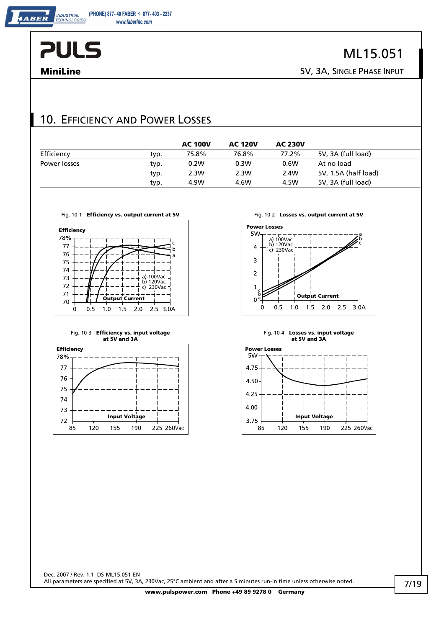

ABER

## ML15.051

**MiniLine** 5V, 3A, SINGLE PHASE INPUT

#### 10. EFFICIENCY AND POWER LOSSES

|              |      | <b>AC 100V</b> | <b>AC 120V</b> | <b>AC 230V</b> |                      |
|--------------|------|----------------|----------------|----------------|----------------------|
| Efficiency   | typ. | 75.8%          | 76.8%          | 77.2%          | 5V, 3A (full load)   |
| Power losses | typ. | 0.2W           | 0.3W           | 0.6W           | At no load           |
|              | typ. | 2.3W           | 2.3W           | 2.4W           | 5V, 1.5A (half load) |
|              | typ. | 4.9W           | 4.6W           | 4.5W           | 5V, 3A (full load)   |



#### Fig. 10-3 **Efficiency vs. input voltage at 5V and 3A**





#### Fig. 10-4 **Losses vs. input voltage at 5V and 3A**

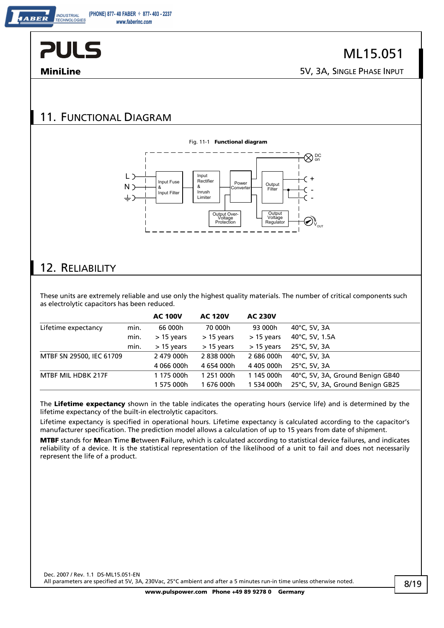

**INDUSTRIAL** 

### 11. FUNCTIONAL DIAGRAM



#### 12. RELIABILITY

These units are extremely reliable and use only the highest quality materials. The number of critical components such as electrolytic capacitors has been reduced.

|                          |      | <b>AC 100V</b> | <b>AC 120V</b> | <b>AC 230V</b> |                                  |
|--------------------------|------|----------------|----------------|----------------|----------------------------------|
| Lifetime expectancy      | min. | 66 000h        | 70 000h        | 93 000h        | 40°C, 5V, 3A                     |
|                          | min. | > 15 years     | $> 15$ years   | $>$ 15 years   | 40°C, 5V, 1.5A                   |
|                          | min. | $> 15$ years   | $> 15$ years   | $> 15$ years   | 25°C, 5V, 3A                     |
| MTBF SN 29500, IEC 61709 |      | 2479 000h      | 2838000h       | 2 686 000h     | 40°C, 5V, 3A                     |
|                          |      | 4 066 000h     | 4 654 000h     | 4 405 000h     | 25°C, 5V, 3A                     |
| MTBF MIL HDBK 217F       |      | 1 175 000h     | 1 251 000h     | 1 145 000h     | 40°C, 5V, 3A, Ground Benign GB40 |
|                          |      | 1 575 000h     | 1676 000h      | 1 534 000h     | 25°C, 5V, 3A, Ground Benign GB25 |

The **Lifetime expectancy** shown in the table indicates the operating hours (service life) and is determined by the lifetime expectancy of the built-in electrolytic capacitors.

Lifetime expectancy is specified in operational hours. Lifetime expectancy is calculated according to the capacitor's manufacturer specification. The prediction model allows a calculation of up to 15 years from date of shipment.

**MTBF** stands for **M**ean **T**ime **B**etween **F**ailure, which is calculated according to statistical device failures, and indicates reliability of a device. It is the statistical representation of the likelihood of a unit to fail and does not necessarily represent the life of a product.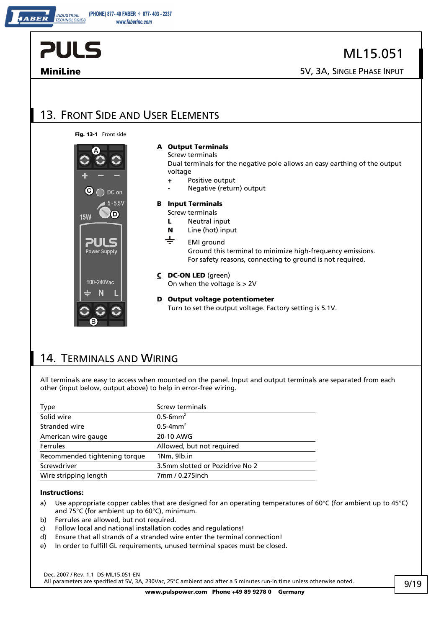| <b>PULS</b>                                                      | ML15.051                                                                                                                                                                                                                                                                                                                                                                                                                                      |
|------------------------------------------------------------------|-----------------------------------------------------------------------------------------------------------------------------------------------------------------------------------------------------------------------------------------------------------------------------------------------------------------------------------------------------------------------------------------------------------------------------------------------|
| <b>MiniLine</b>                                                  | 5V, 3A, SINGLE PHASE INPUT                                                                                                                                                                                                                                                                                                                                                                                                                    |
|                                                                  |                                                                                                                                                                                                                                                                                                                                                                                                                                               |
| 13. FRONT SIDE AND USER ELEMENTS                                 |                                                                                                                                                                                                                                                                                                                                                                                                                                               |
| Fig. 13-1 Front side                                             |                                                                                                                                                                                                                                                                                                                                                                                                                                               |
| (C)<br>DC on<br>5-5.5V<br>D<br><b>15W</b><br><b>Power Supply</b> | A Output Terminals<br>Screw terminals<br>Dual terminals for the negative pole allows an easy earthing of the output<br>voltage<br>Positive output<br>÷<br>Negative (return) output<br><b>Input Terminals</b><br>B<br>Screw terminals<br>Neutral input<br>L<br>Line (hot) input<br>N<br>$\div$<br><b>EMI</b> ground<br>Ground this terminal to minimize high-frequency emissions.<br>For safety reasons, connecting to ground is not required. |
| 100-240Vac                                                       | C DC-ON LED (green)<br>On when the voltage is $> 2V$                                                                                                                                                                                                                                                                                                                                                                                          |
| в                                                                | <b>D</b> Output voltage potentiometer<br>Turn to set the output voltage. Factory setting is 5.1V.                                                                                                                                                                                                                                                                                                                                             |

#### 14. TERMINALS AND WIRING

All terminals are easy to access when mounted on the panel. Input and output terminals are separated from each other (input below, output above) to help in error-free wiring.

| <b>Screw terminals</b>          |
|---------------------------------|
| $0.5$ -6mm <sup>2</sup>         |
| $0.5 - 4$ mm <sup>2</sup>       |
| 20-10 AWG                       |
| Allowed, but not required       |
| 1Nm, 9lb.in                     |
| 3.5mm slotted or Pozidrive No 2 |
| 7mm / 0.275inch                 |
|                                 |

#### **Instructions:**

- a) Use appropriate copper cables that are designed for an operating temperatures of 60°C (for ambient up to 45°C) and 75°C (for ambient up to 60°C), minimum.
- b) Ferrules are allowed, but not required.
- c) Follow local and national installation codes and regulations!
- d) Ensure that all strands of a stranded wire enter the terminal connection!
- e) In order to fulfill GL requirements, unused terminal spaces must be closed.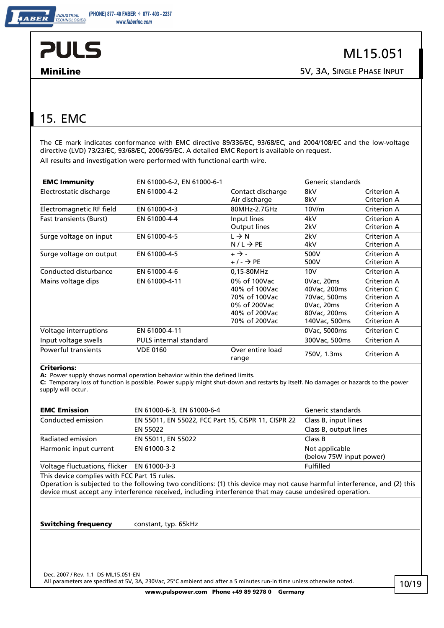

**MiniLine** 5V, 3A, SINGLE PHASE INPUT

## 15. EMC

The CE mark indicates conformance with EMC directive 89/336/EC, 93/68/EC, and 2004/108/EC and the low-voltage directive (LVD) 73/23/EC, 93/68/EC, 2006/95/EC. A detailed EMC Report is available on request. All results and investigation were performed with functional earth wire.

| <b>EMC Immunity</b>            | EN 61000-6-2, EN 61000-6-1    |                           | Generic standards |             |
|--------------------------------|-------------------------------|---------------------------|-------------------|-------------|
| Electrostatic discharge        | EN 61000-4-2                  | Contact discharge         | 8kV               | Criterion A |
|                                |                               | Air discharge             | 8kV               | Criterion A |
| Electromagnetic RF field       | EN 61000-4-3                  | 80MHz-2.7GHz              | 10V/m             | Criterion A |
| <b>Fast transients (Burst)</b> | EN 61000-4-4                  | Input lines               | 4kV               | Criterion A |
|                                |                               | Output lines              | 2kV               | Criterion A |
| Surge voltage on input         | EN 61000-4-5                  | $L \rightarrow N$         | 2kV               | Criterion A |
|                                |                               | $N/L \rightarrow PE$      | 4kV               | Criterion A |
| Surge voltage on output        | EN 61000-4-5                  | $+ \rightarrow -$         | 500V              | Criterion A |
|                                |                               | $+/- \rightarrow PE$      | 500V              | Criterion A |
| Conducted disturbance          | EN 61000-4-6                  | 0,15-80MHz                | 10V               | Criterion A |
| Mains voltage dips             | EN 61000-4-11                 | 0% of 100Vac              | 0Vac, 20ms        | Criterion A |
|                                |                               | 40% of 100Vac             | 40Vac, 200ms      | Criterion C |
|                                |                               | 70% of 100Vac             | 70Vac, 500ms      | Criterion A |
|                                |                               | 0% of 200Vac              | 0Vac, 20ms        | Criterion A |
|                                |                               | 40% of 200Vac             | 80Vac, 200ms      | Criterion A |
|                                |                               | 70% of 200Vac             | 140Vac, 500ms     | Criterion A |
| Voltage interruptions          | EN 61000-4-11                 |                           | 0Vac, 5000ms      | Criterion C |
| Input voltage swells           | <b>PULS</b> internal standard |                           | 300Vac, 500ms     | Criterion A |
| <b>Powerful transients</b>     | <b>VDE 0160</b>               | Over entire load<br>range | 750V, 1.3ms       | Criterion A |

#### **Criterions:**

**A:** Power supply shows normal operation behavior within the defined limits.

**C:** Temporary loss of function is possible. Power supply might shut-down and restarts by itself. No damages or hazards to the power supply will occur.

| <b>EMC Emission</b>    | EN 61000-6-3, EN 61000-6-4                          | Generic standards       |
|------------------------|-----------------------------------------------------|-------------------------|
| Conducted emission     | EN 55011, EN 55022, FCC Part 15, CISPR 11, CISPR 22 | Class B, input lines    |
|                        | EN 55022                                            | Class B, output lines   |
| Radiated emission      | EN 55011, EN 55022                                  | Class B                 |
| Harmonic input current | EN 61000-3-2                                        | Not applicable          |
|                        |                                                     | (below 75W input power) |

Voltage fluctuations, flicker EN 61000-3-3 Fulfilled

This device complies with FCC Part 15 rules.

Operation is subjected to the following two conditions: (1) this device may not cause harmful interference, and (2) this device must accept any interference received, including interference that may cause undesired operation.

**Switching frequency** constant, typ. 65kHz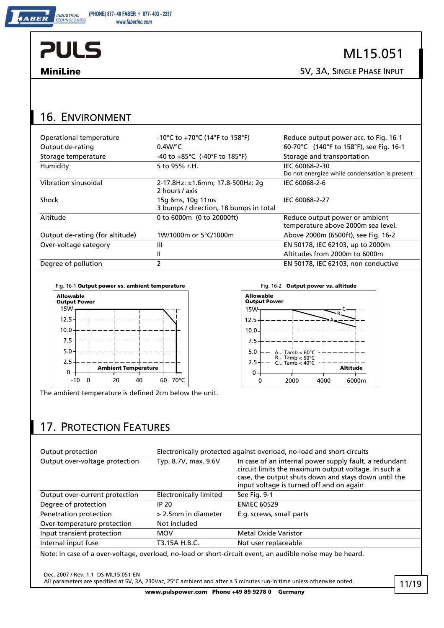INDUSTRIAL<br>TECHNOLOGIES

ABER

ML15.051

**MiniLine** 5V, 3A, SINGLE PHASE INPUT

### 16. ENVIRONMENT

| Operational temperature         | -10°C to +70°C (14°F to 158°F)                              | Reduce output power acc. to Fig. 16-1                                |
|---------------------------------|-------------------------------------------------------------|----------------------------------------------------------------------|
| Output de-rating                | $0.4$ W/°C                                                  | 60-70°C (140°F to 158°F), see Fig. 16-1                              |
| Storage temperature             | -40 to $+85^{\circ}$ C (-40°F to 185°F)                     | Storage and transportation                                           |
| Humidity                        | 5 to 95% r.H.                                               | IEC 60068-2-30                                                       |
|                                 |                                                             | Do not energize while condensation is present                        |
| Vibration sinusoidal            | 2-17.8Hz: ±1.6mm; 17.8-500Hz: 2g<br>2 hours / axis          | IEC 60068-2-6                                                        |
| Shock                           | 15g 6ms, 10g 11ms<br>3 bumps / direction, 18 bumps in total | IEC 60068-2-27                                                       |
| Altitude                        | 0 to 6000m (0 to 20000ft)                                   | Reduce output power or ambient<br>temperature above 2000m sea level. |
| Output de-rating (for altitude) | 1W/1000m or 5°C/1000m                                       | Above 2000m (6500ft), see Fig. 16-2                                  |
| Over-voltage category           | Ш                                                           | EN 50178, IEC 62103, up to 2000m                                     |
|                                 | Ш                                                           | Altitudes from 2000m to 6000m                                        |
| Degree of pollution             | 2                                                           | EN 50178, IEC 62103, non conductive                                  |

Fig. 16-1 **Output power vs. ambient temperature** Fig. 16-2 **Output power vs. altitude** 



The ambient temperature is defined 2cm below the unit.



### 17. PROTECTION FEATURES

| Output protection              | Electronically protected against overload, no-load and short-circuits |                                                                                                                                                                                                                    |  |
|--------------------------------|-----------------------------------------------------------------------|--------------------------------------------------------------------------------------------------------------------------------------------------------------------------------------------------------------------|--|
| Output over-voltage protection | Typ. 8.7V, max. 9.6V                                                  | In case of an internal power supply fault, a redundant<br>circuit limits the maximum output voltage. In such a<br>case, the output shuts down and stays down until the<br>input voltage is turned off and on again |  |
| Output over-current protection | <b>Electronically limited</b>                                         | See Fig. 9-1                                                                                                                                                                                                       |  |
| Degree of protection           | IP 20                                                                 | <b>EN/IEC 60529</b>                                                                                                                                                                                                |  |
| Penetration protection         | > 2.5mm in diameter                                                   | E.g. screws, small parts                                                                                                                                                                                           |  |
| Over-temperature protection    | Not included                                                          |                                                                                                                                                                                                                    |  |
| Input transient protection     | <b>MOV</b>                                                            | <b>Metal Oxide Varistor</b>                                                                                                                                                                                        |  |
| Internal input fuse            | T3.15A H.B.C.                                                         | Not user replaceable                                                                                                                                                                                               |  |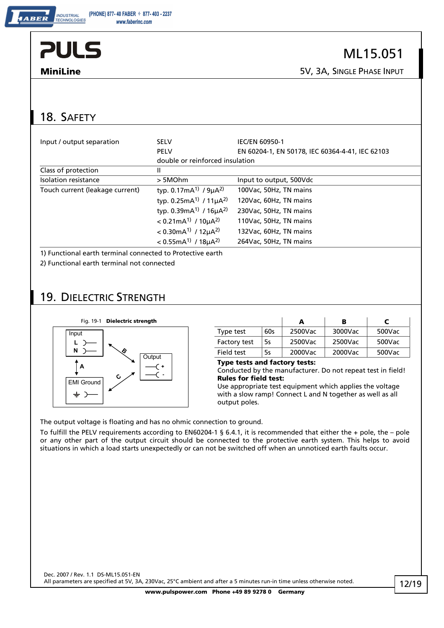ML15.051

**MiniLine** 5V, 3A, SINGLE PHASE INPUT

## 18. SAFETY

| Input / output separation       | <b>SELV</b>                                          | <b>IEC/EN 60950-1</b>                           |
|---------------------------------|------------------------------------------------------|-------------------------------------------------|
|                                 | <b>PELV</b>                                          | EN 60204-1, EN 50178, IEC 60364-4-41, IEC 62103 |
|                                 | double or reinforced insulation                      |                                                 |
| Class of protection             | Ш                                                    |                                                 |
| Isolation resistance            | > 5MOhm                                              | Input to output, 500Vdc                         |
| Touch current (leakage current) | typ. 0.17mA <sup>1)</sup> / $9\mu A^{2}$             | 100Vac, 50Hz, TN mains                          |
|                                 | typ. 0.25mA <sup>1)</sup> / $11\mu A^{2}$            | 120Vac, 60Hz, TN mains                          |
|                                 | typ. $0.39mA^{1}$ / $16\mu A^{2}$                    | 230Vac, 50Hz, TN mains                          |
|                                 | $< 0.21$ mA <sup>1)</sup> / 10 $\mu$ A <sup>2)</sup> | 110Vac, 50Hz, TN mains                          |
|                                 | $< 0.30$ mA <sup>1)</sup> / 12 $\mu$ A <sup>2)</sup> | 132Vac, 60Hz, TN mains                          |
|                                 | $< 0.55$ mA <sup>1)</sup> / 18 $\mu$ A <sup>2)</sup> | 264Vac, 50Hz, TN mains                          |
|                                 |                                                      |                                                 |

1) Functional earth terminal connected to Protective earth

2) Functional earth terminal not connected

### 19. DIELECTRIC STRENGTH



|                     |     |         | в       |        |
|---------------------|-----|---------|---------|--------|
| Type test           | 60s | 2500Vac | 3000Vac | 500Vac |
| <b>Factory test</b> | 5s  | 2500Vac | 2500Vac | 500Vac |
| Field test          | 5s  | 2000Vac | 2000Vac | 500Vac |

**Type tests and factory tests:**

Conducted by the manufacturer. Do not repeat test in field! **Rules for field test:**

Use appropriate test equipment which applies the voltage with a slow ramp! Connect L and N together as well as all output poles.

The output voltage is floating and has no ohmic connection to ground.

To fulfill the PELV requirements according to EN60204-1 § 6.4.1, it is recommended that either the + pole, the – pole or any other part of the output circuit should be connected to the protective earth system. This helps to avoid situations in which a load starts unexpectedly or can not be switched off when an unnoticed earth faults occur.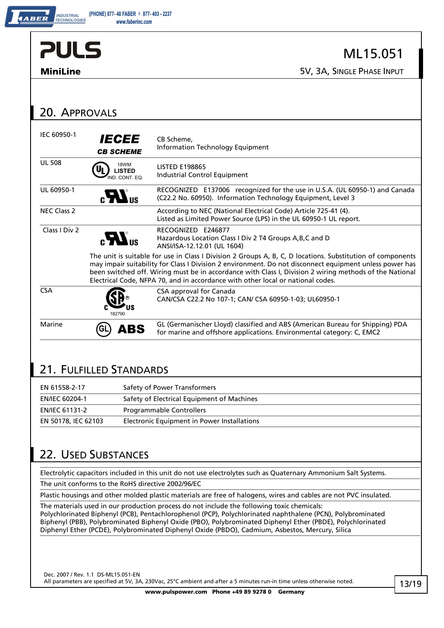| <b>PULS</b>        |                                              | ML15.051                                                                                                                                                                                                                                                                                                                                                                                                            |
|--------------------|----------------------------------------------|---------------------------------------------------------------------------------------------------------------------------------------------------------------------------------------------------------------------------------------------------------------------------------------------------------------------------------------------------------------------------------------------------------------------|
| <b>MiniLine</b>    |                                              | 5V, 3A, SINGLE PHASE INPUT                                                                                                                                                                                                                                                                                                                                                                                          |
|                    |                                              |                                                                                                                                                                                                                                                                                                                                                                                                                     |
| 20. APPROVALS      |                                              |                                                                                                                                                                                                                                                                                                                                                                                                                     |
| IEC 60950-1        | <i><b>IECEE</b></i><br><b>CB SCHEME</b>      | CB Scheme.<br><b>Information Technology Equipment</b>                                                                                                                                                                                                                                                                                                                                                               |
| <b>UL 508</b>      | 18WM<br><b>LISTED</b><br>.<br>IND. CONT. EQ. | <b>LISTED E198865</b><br>Industrial Control Equipment                                                                                                                                                                                                                                                                                                                                                               |
| UL 60950-1         | $\boldsymbol{H}$                             | RECOGNIZED E137006 recognized for the use in U.S.A. (UL 60950-1) and Canada<br>(C22.2 No. 60950). Information Technology Equipment, Level 3                                                                                                                                                                                                                                                                         |
| <b>NEC Class 2</b> |                                              | According to NEC (National Electrical Code) Article 725-41 (4).<br>Listed as Limited Power Source (LPS) in the UL 60950-1 UL report.                                                                                                                                                                                                                                                                                |
| Class I Div 2      | $_{\rm eff}$ $\boldsymbol{H}_{\rm eff}$      | RECOGNIZED E246877<br>Hazardous Location Class I Div 2 T4 Groups A, B, C and D<br>ANSI/ISA-12.12.01 (UL 1604)                                                                                                                                                                                                                                                                                                       |
|                    |                                              | The unit is suitable for use in Class I Division 2 Groups A, B, C, D locations. Substitution of components<br>may impair suitability for Class I Division 2 environment. Do not disconnect equipment unless power has<br>been switched off. Wiring must be in accordance with Class I, Division 2 wiring methods of the National<br>Electrical Code, NFPA 70, and in accordance with other local or national codes. |
| <b>CSA</b>         |                                              | CSA approval for Canada<br>CAN/CSA C22.2 No 107-1; CAN/ CSA 60950-1-03; UL60950-1                                                                                                                                                                                                                                                                                                                                   |
| Marine             | ABS                                          | GL (Germanischer Lloyd) classified and ABS (American Bureau for Shipping) PDA<br>for marine and offshore applications. Environmental category: C, EMC2                                                                                                                                                                                                                                                              |

### 21. FULFILLED STANDARDS

| EN 61558-2-17         | Safety of Power Transformers                |
|-----------------------|---------------------------------------------|
| <b>EN/IEC 60204-1</b> | Safety of Electrical Equipment of Machines  |
| <b>EN/IEC 61131-2</b> | <b>Programmable Controllers</b>             |
| EN 50178, IEC 62103   | Electronic Equipment in Power Installations |

## 22. USED SUBSTANCES

Electrolytic capacitors included in this unit do not use electrolytes such as Quaternary Ammonium Salt Systems.

The unit conforms to the RoHS directive 2002/96/EC

Plastic housings and other molded plastic materials are free of halogens, wires and cables are not PVC insulated.

The materials used in our production process do not include the following toxic chemicals: Polychlorinated Biphenyl (PCB), Pentachlorophenol (PCP), Polychlorinated naphthalene (PCN), Polybrominated Biphenyl (PBB), Polybrominated Biphenyl Oxide (PBO), Polybrominated Diphenyl Ether (PBDE), Polychlorinated Diphenyl Ether (PCDE), Polybrominated Diphenyl Oxide (PBDO), Cadmium, Asbestos, Mercury, Silica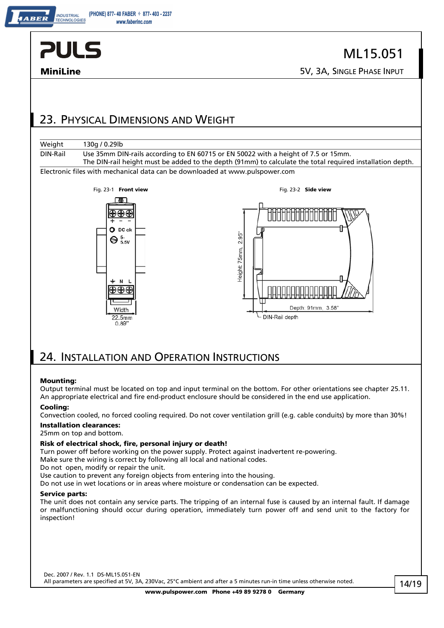

**INDUSTRIAL** 

## ML15.051

**MiniLine** 5V, 3A, SINGLE PHASE INPUT

### 23. PHYSICAL DIMENSIONS AND WEIGHT

| Weight   | 130g / 0.29lb                                                                                                      |
|----------|--------------------------------------------------------------------------------------------------------------------|
| DIN-Rail | Use 35mm DIN-rails according to EN 60715 or EN 50022 with a height of 7.5 or 15mm.                                 |
|          | The DIN-rail height must be added to the depth (91mm) to calculate the total required installation depth.          |
|          | Flashback of the contribution of a control share are a fact shared as a shared control of the control of a control |

Electronic files with mechanical data can be downloaded at www.pulspower.com



### 24. INSTALLATION AND OPERATION INSTRUCTIONS

#### **Mounting:**

Output terminal must be located on top and input terminal on the bottom. For other orientations see chapter 25.11. An appropriate electrical and fire end-product enclosure should be considered in the end use application.

#### **Cooling:**

Convection cooled, no forced cooling required. Do not cover ventilation grill (e.g. cable conduits) by more than 30%!

#### **Installation clearances:**

25mm on top and bottom.

#### **Risk of electrical shock, fire, personal injury or death!**

Turn power off before working on the power supply. Protect against inadvertent re-powering.

Make sure the wiring is correct by following all local and national codes.

Do not open, modify or repair the unit.

Use caution to prevent any foreign objects from entering into the housing.

Do not use in wet locations or in areas where moisture or condensation can be expected.

#### **Service parts:**

The unit does not contain any service parts. The tripping of an internal fuse is caused by an internal fault. If damage or malfunctioning should occur during operation, immediately turn power off and send unit to the factory for inspection!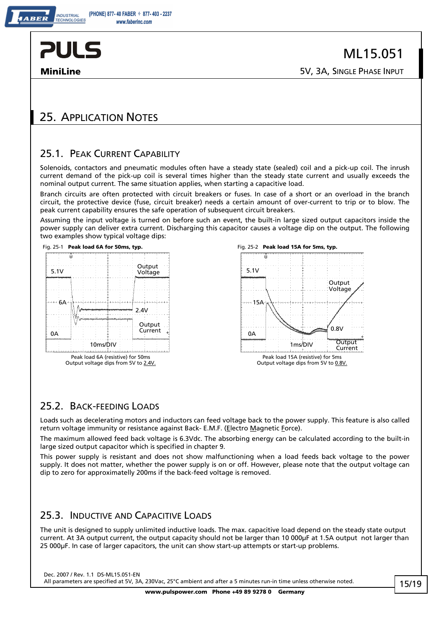**INDUSTRIAL** 

**MiniLine** 5V, 3A, SINGLE PHASE INPUT

### 25. APPLICATION NOTES

#### 25.1. PEAK CURRENT CAPABILITY

Solenoids, contactors and pneumatic modules often have a steady state (sealed) coil and a pick-up coil. The inrush current demand of the pick-up coil is several times higher than the steady state current and usually exceeds the nominal output current. The same situation applies, when starting a capacitive load.

Branch circuits are often protected with circuit breakers or fuses. In case of a short or an overload in the branch circuit, the protective device (fuse, circuit breaker) needs a certain amount of over-current to trip or to blow. The peak current capability ensures the safe operation of subsequent circuit breakers.

Assuming the input voltage is turned on before such an event, the built-in large sized output capacitors inside the power supply can deliver extra current. Discharging this capacitor causes a voltage dip on the output. The following two examples show typical voltage dips:



Output voltage dips from 5V to 2.4V.





#### 25.2. BACK-FEEDING LOADS

Loads such as decelerating motors and inductors can feed voltage back to the power supply. This feature is also called return voltage immunity or resistance against Back- E.M.F. (Electro Magnetic Force).

The maximum allowed feed back voltage is 6.3Vdc. The absorbing energy can be calculated according to the built-in large sized output capacitor which is specified in chapter 9.

This power supply is resistant and does not show malfunctioning when a load feeds back voltage to the power supply. It does not matter, whether the power supply is on or off. However, please note that the output voltage can dip to zero for approximatelly 200ms if the back-feed voltage is removed.

#### 25.3. INDUCTIVE AND CAPACITIVE LOADS

The unit is designed to supply unlimited inductive loads. The max. capacitive load depend on the steady state output current. At 3A output current, the output capacity should not be larger than 10 000µF at 1.5A output not larger than 25 000µF. In case of larger capacitors, the unit can show start-up attempts or start-up problems.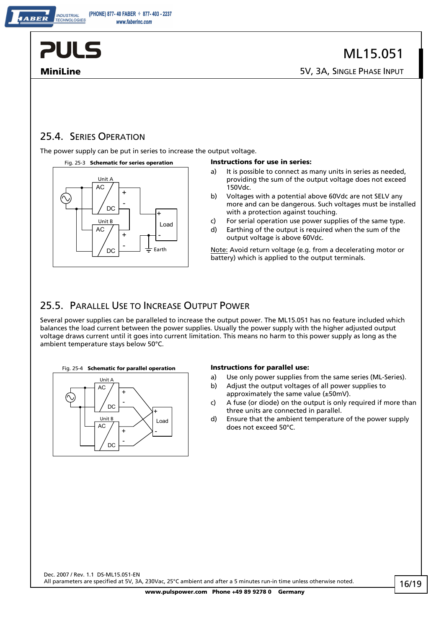

**INDUSTRIAL TECHNOLOGIES** 

#### 25.4. SERIES OPERATION

The power supply can be put in series to increase the output voltage.



#### Fig. 25-3 **Schematic for series operation Instructions for use in series:**

- a) It is possible to connect as many units in series as needed, providing the sum of the output voltage does not exceed 150Vdc.
- b) Voltages with a potential above 60Vdc are not SELV any more and can be dangerous. Such voltages must be installed with a protection against touching.
- c) For serial operation use power supplies of the same type.
- d) Earthing of the output is required when the sum of the output voltage is above 60Vdc.

Note: Avoid return voltage (e.g. from a decelerating motor or battery) which is applied to the output terminals.

#### 25.5. PARALLEL USE TO INCREASE OUTPUT POWER

Several power supplies can be paralleled to increase the output power. The ML15.051 has no feature included which balances the load current between the power supplies. Usually the power supply with the higher adjusted output voltage draws current until it goes into current limitation. This means no harm to this power supply as long as the ambient temperature stays below 50°C.



- a) Use only power supplies from the same series (ML-Series).
- b) Adjust the output voltages of all power supplies to approximately the same value (±50mV).
- c) A fuse (or diode) on the output is only required if more than three units are connected in parallel.
- d) Ensure that the ambient temperature of the power supply does not exceed 50°C.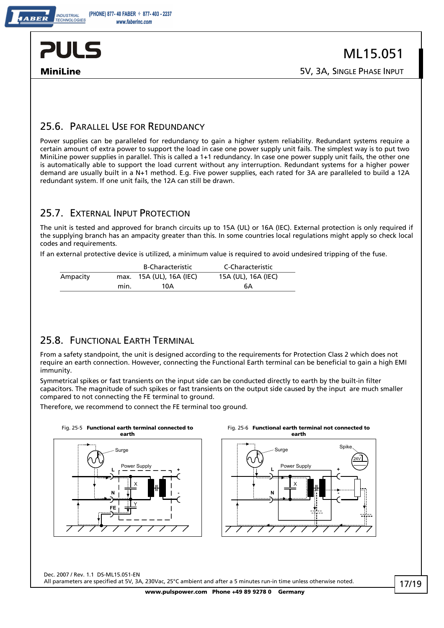

**MiniLine** 5V, 3A, SINGLE PHASE INPUT

#### 25.6. PARALLEL USE FOR REDUNDANCY

Power supplies can be paralleled for redundancy to gain a higher system reliability. Redundant systems require a certain amount of extra power to support the load in case one power supply unit fails. The simplest way is to put two MiniLine power supplies in parallel. This is called a 1+1 redundancy. In case one power supply unit fails, the other one is automatically able to support the load current without any interruption. Redundant systems for a higher power demand are usually built in a N+1 method. E.g. Five power supplies, each rated for 3A are paralleled to build a 12A redundant system. If one unit fails, the 12A can still be drawn.

#### 25.7. EXTERNAL INPUT PROTECTION

The unit is tested and approved for branch circuits up to 15A (UL) or 16A (IEC). External protection is only required if the supplying branch has an ampacity greater than this. In some countries local regulations might apply so check local codes and requirements.

If an external protective device is utilized, a minimum value is required to avoid undesired tripping of the fuse.

|          |      | <b>B-Characteristic</b>  | C-Characteristic    |
|----------|------|--------------------------|---------------------|
| Ampacity |      | max. 15A (UL), 16A (IEC) | 15A (UL), 16A (IEC) |
|          | min. | 10A                      | 6А                  |

#### 25.8. FUNCTIONAL EARTH TERMINAL

From a safety standpoint, the unit is designed according to the requirements for Protection Class 2 which does not require an earth connection. However, connecting the Functional Earth terminal can be beneficial to gain a high EMI immunity.

Symmetrical spikes or fast transients on the input side can be conducted directly to earth by the built-in filter capacitors. The magnitude of such spikes or fast transients on the output side caused by the input are much smaller compared to not connecting the FE terminal to ground.

Therefore, we recommend to connect the FE terminal too ground.



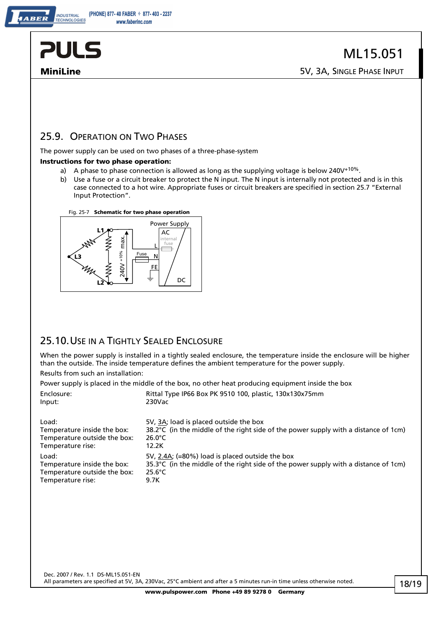

**INDUSTRIAL TECHNOLOGIES** 

#### 25.9. OPERATION ON TWO PHASES

The power supply can be used on two phases of a three-phase-system

#### **Instructions for two phase operation:**

- a) A phase to phase connection is allowed as long as the supplying voltage is below 240V<sup>+10%</sup>.
- b) Use a fuse or a circuit breaker to protect the N input. The N input is internally not protected and is in this case connected to a hot wire. Appropriate fuses or circuit breakers are specified in section 25.7 "External Input Protection".





#### 25.10. USE IN A TIGHTLY SEALED ENCLOSURE

When the power supply is installed in a tightly sealed enclosure, the temperature inside the enclosure will be higher than the outside. The inside temperature defines the ambient temperature for the power supply.

Results from such an installation:

Power supply is placed in the middle of the box, no other heat producing equipment inside the box Enclosure: Rittal Type IP66 Box PK 9510 100, plastic, 130x130x75mm Input: 230Vac

Load:  $5V$ ,  $3A$ ; load is placed outside the box  $38.2^{\circ}$ C (in the middle of the right side  $38.2^{\circ}C$  (in the middle of the right side of the power supply with a distance of 1cm)<br>26.0°C Temperature outside the box: Temperature rise: 12.2K Load: 5V, 2.4A; (=80%) load is placed outside the box Temperature inside the box:  $35.3^{\circ}$ C (in the middle of the right side of the power supply with a distance of 1cm)<br>Temperature outside the box:  $25.6^{\circ}$ C Temperature outside the box:  $25.6^{\circ}$ <br>Temperature rise: 9.7K Temperature rise: